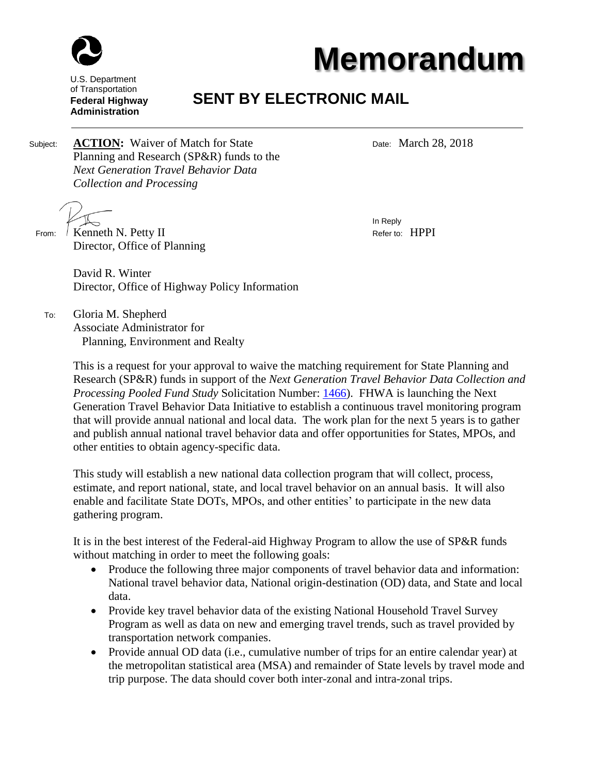

## **Memorandum**

U.S. Department of Transportation **Federal Highway Administration**

## **SENT BY ELECTRONIC MAIL**

Subject: **ACTION:** Waiver of Match for State Date: March 28, 2018 Planning and Research (SP&R) funds to the *Next Generation Travel Behavior Data Collection and Processing* 

 From: Kenneth N. Petty II Refer to: HPPI Director, Office of Planning

In Reply

David R. Winter Director, Office of Highway Policy Information

 To: Gloria M. Shepherd Associate Administrator for Planning, Environment and Realty

> This is a request for your approval to waive the matching requirement for State Planning and Research (SP&R) funds in support of the *Next Generation Travel Behavior Data Collection and Processing Pooled Fund Study* Solicitation Number: [1466\)](http://www.pooledfund.org/Details/Solicitation/1466). FHWA is launching the Next Generation Travel Behavior Data Initiative to establish a continuous travel monitoring program that will provide annual national and local data. The work plan for the next 5 years is to gather and publish annual national travel behavior data and offer opportunities for States, MPOs, and other entities to obtain agency-specific data.

This study will establish a new national data collection program that will collect, process, estimate, and report national, state, and local travel behavior on an annual basis. It will also enable and facilitate State DOTs, MPOs, and other entities' to participate in the new data gathering program.

It is in the best interest of the Federal-aid Highway Program to allow the use of SP&R funds without matching in order to meet the following goals:

- Produce the following three major components of travel behavior data and information: National travel behavior data, National origin-destination (OD) data, and State and local data.
- Provide key travel behavior data of the existing National Household Travel Survey Program as well as data on new and emerging travel trends, such as travel provided by transportation network companies.
- Provide annual OD data (i.e., cumulative number of trips for an entire calendar year) at the metropolitan statistical area (MSA) and remainder of State levels by travel mode and trip purpose. The data should cover both inter-zonal and intra-zonal trips.